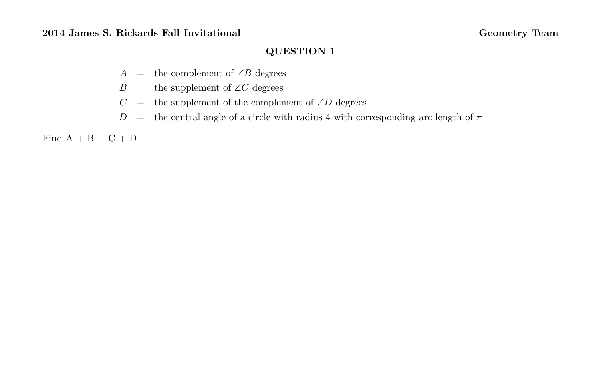- A = the complement of  $\angle B$  degrees
- B = the supplement of  $\angle C$  degrees
- $C =$  the supplement of the complement of ∠D degrees
- D = the central angle of a circle with radius 4 with corresponding arc length of  $\pi$

Find  $A + B + C + D$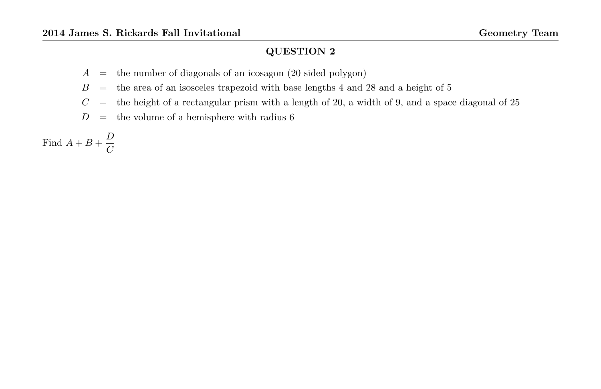- $A =$  the number of diagonals of an icosagon (20 sided polygon)
- $B =$  the area of an isosceles trapezoid with base lengths 4 and 28 and a height of 5
- $C =$  the height of a rectangular prism with a length of 20, a width of 9, and a space diagonal of 25
- $D\quad =\quad$  the volume of a hemisphere with radius  $6$

Find 
$$
A + B + \frac{D}{C}
$$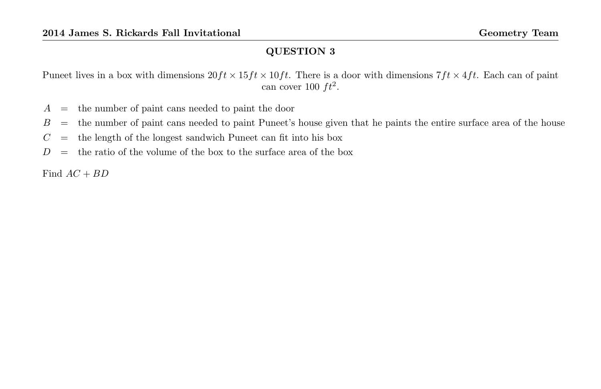Puneet lives in a box with dimensions  $20ft \times 15ft \times 10ft$ . There is a door with dimensions  $7ft \times 4ft$ . Each can of paint can cover 100  $ft^2$ .

- $A =$  the number of paint cans needed to paint the door
- $B =$  the number of paint cans needed to paint Puneet's house given that he paints the entire surface area of the house
- $C =$  the length of the longest sandwich Puneet can fit into his box
- $D =$  the ratio of the volume of the box to the surface area of the box

Find  $AC + BD$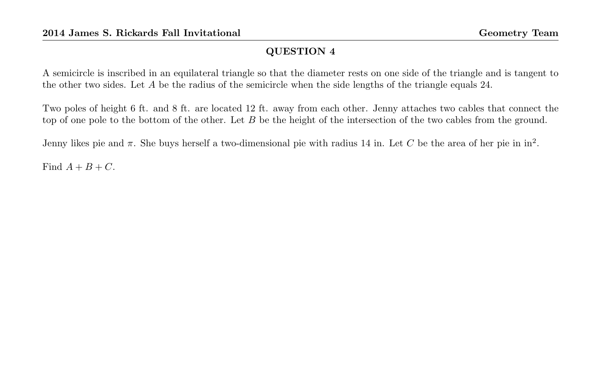A semicircle is inscribed in an equilateral triangle so that the diameter rests on one side of the triangle and is tangent to the other two sides. Let A be the radius of the semicircle when the side lengths of the triangle equals 24.

Two poles of height 6 ft. and 8 ft. are located 12 ft. away from each other. Jenny attaches two cables that connect the top of one pole to the bottom of the other. Let B be the height of the intersection of the two cables from the ground.

Jenny likes pie and  $\pi$ . She buys herself a two-dimensional pie with radius 14 in. Let C be the area of her pie in in<sup>2</sup>.

Find  $A + B + C$ .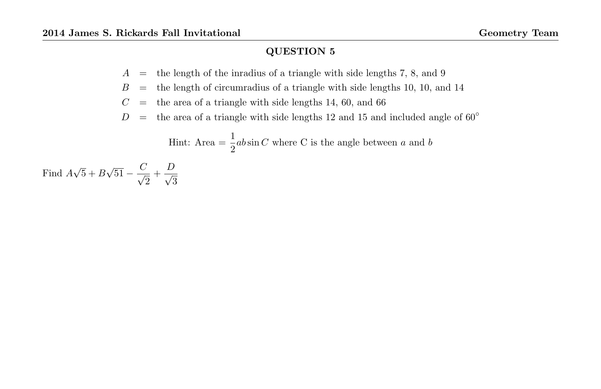- $A =$  the length of the inradius of a triangle with side lengths 7, 8, and 9
- $B =$  the length of circumradius of a triangle with side lengths 10, 10, and 14
- $C =$  the area of a triangle with side lengths 14, 60, and 66
- $D =$  the area of a triangle with side lengths 12 and 15 and included angle of 60 $\degree$

Hint: Area = 
$$
\frac{1}{2}ab\sin C
$$
 where C is the angle between a and b

Find A √  $5 + B$ √  $\overline{51} - \frac{C}{6}$  $\frac{y}{2} + \frac{D}{\sqrt{3}}$ 3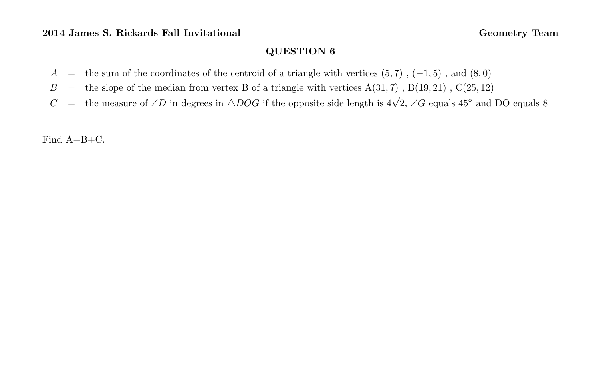- A = the sum of the coordinates of the centroid of a triangle with vertices  $(5,7)$ ,  $(-1,5)$ , and  $(8,0)$
- $B =$  the slope of the median from vertex B of a triangle with vertices  $A(31, 7)$ ,  $B(19, 21)$ ,  $C(25, 12)$
- C = the measure of ∠D in degrees in  $\triangle DOG$  if the opposite side length is  $4\sqrt{2}$ , ∠G equals 45° and DO equals 8

Find A+B+C.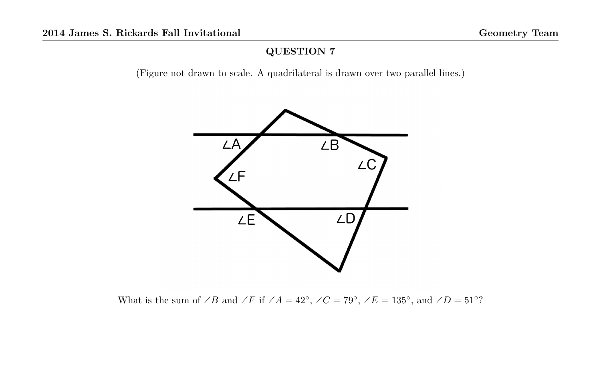(Figure not drawn to scale. A quadrilateral is drawn over two parallel lines.)



What is the sum of ∠B and ∠F if ∠A = 42°, ∠C = 79°, ∠E = 135°, and ∠D = 51°?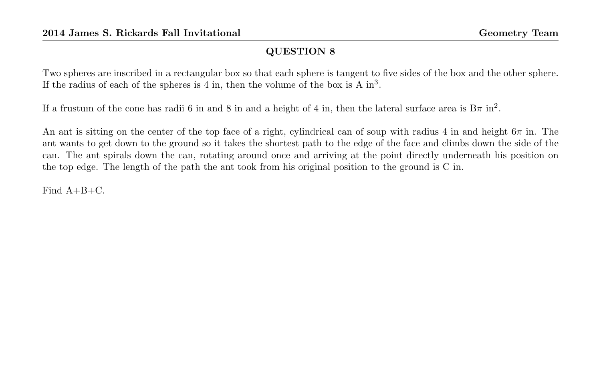Two spheres are inscribed in a rectangular box so that each sphere is tangent to five sides of the box and the other sphere. If the radius of each of the spheres is 4 in, then the volume of the box is A  $in<sup>3</sup>$ .

If a frustum of the cone has radii 6 in and 8 in and a height of 4 in, then the lateral surface area is  $B\pi$  in<sup>2</sup>.

An ant is sitting on the center of the top face of a right, cylindrical can of soup with radius 4 in and height  $6\pi$  in. The ant wants to get down to the ground so it takes the shortest path to the edge of the face and climbs down the side of the can. The ant spirals down the can, rotating around once and arriving at the point directly underneath his position on the top edge. The length of the path the ant took from his original position to the ground is C in.

Find A+B+C.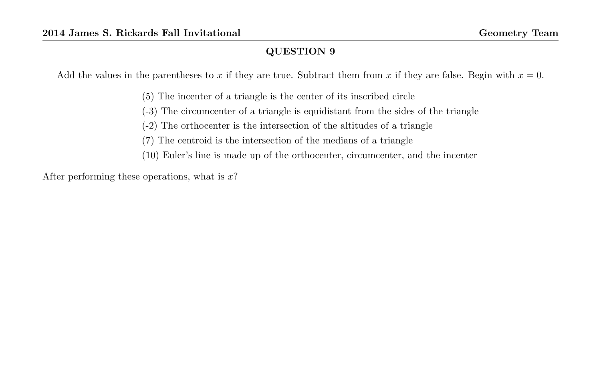Add the values in the parentheses to x if they are true. Subtract them from x if they are false. Begin with  $x = 0$ .

(5) The incenter of a triangle is the center of its inscribed circle

(-3) The circumcenter of a triangle is equidistant from the sides of the triangle

(-2) The orthocenter is the intersection of the altitudes of a triangle

(7) The centroid is the intersection of the medians of a triangle

(10) Euler's line is made up of the orthocenter, circumcenter, and the incenter

After performing these operations, what is  $x$ ?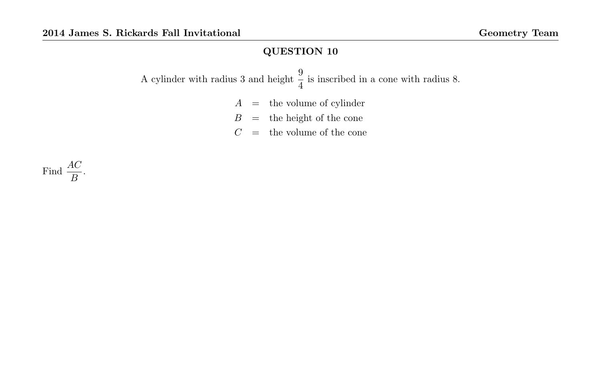A cylinder with radius 3 and height  $\frac{9}{4}$  is inscribed in a cone with radius 8.

- $A =$  the volume of cylinder
- $B =$  the height of the cone
- $C =$  the volume of the cone

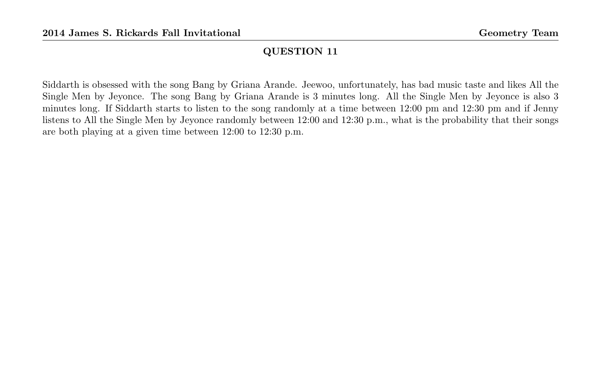Siddarth is obsessed with the song Bang by Griana Arande. Jeewoo, unfortunately, has bad music taste and likes All the Single Men by Jeyonce. The song Bang by Griana Arande is 3 minutes long. All the Single Men by Jeyonce is also 3 minutes long. If Siddarth starts to listen to the song randomly at a time between 12:00 pm and 12:30 pm and if Jenny listens to All the Single Men by Jeyonce randomly between 12:00 and 12:30 p.m., what is the probability that their songs are both playing at a given time between 12:00 to 12:30 p.m.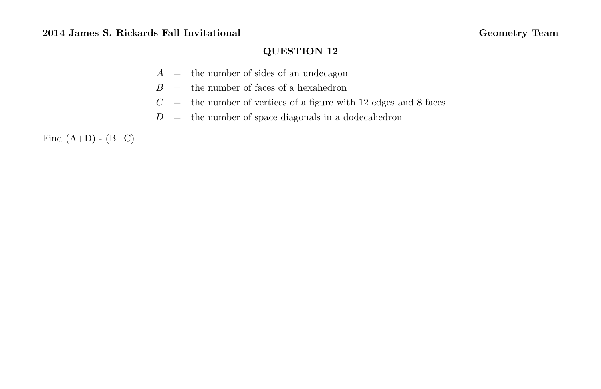- $A =$  the number of sides of an undecagon
- $B =$  the number of faces of a hexahedron
- $C =$  the number of vertices of a figure with 12 edges and 8 faces
- $D =$  the number of space diagonals in a dodecahedron

Find  $(A+D) - (B+C)$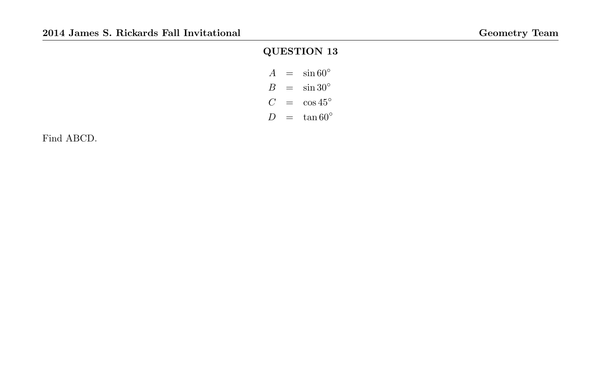| $\overline{A}$ | $\sin 60^\circ$  |
|----------------|------------------|
| B              | $\sin 30^\circ$  |
| C !            | $\cos{45^\circ}$ |
| $\prime$       | $\tan 60^\circ$  |

Find ABCD.